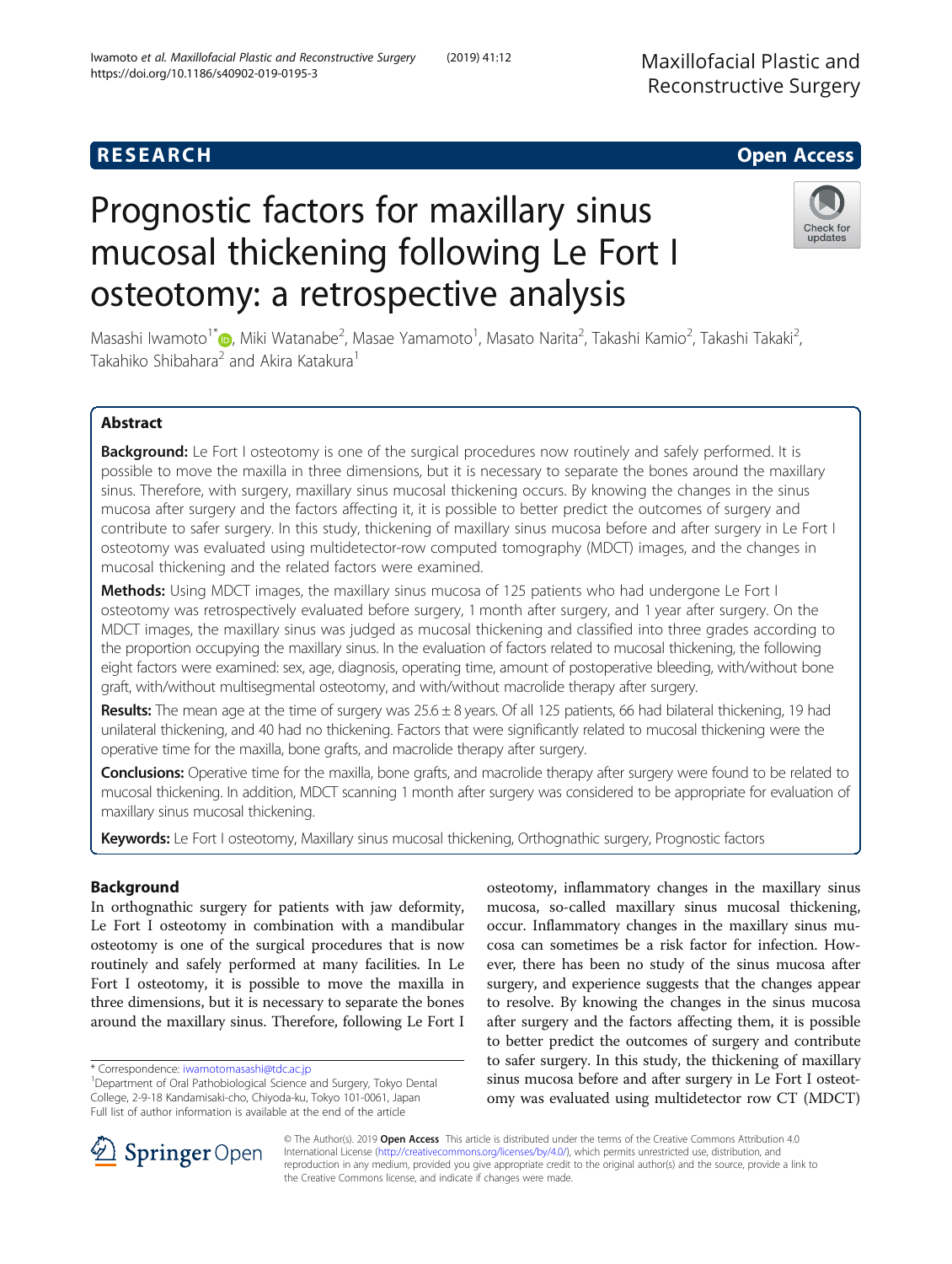# **RESEARCH CHE Open Access**

# Prognostic factors for maxillary sinus mucosal thickening following Le Fort I osteotomy: a retrospective analysis

Masashi Iwamoto<sup>1[\\*](http://orcid.org/0000-0003-0201-920X)</sup>�, Miki Watanabe<sup>2</sup>, Masae Yamamoto<sup>1</sup>, Masato Narita<sup>2</sup>, Takashi Kamio<sup>2</sup>, Takashi Takaki<sup>2</sup> , Takahiko Shibahara<sup>2</sup> and Akira Katakura<sup>1</sup>

# Abstract

Background: Le Fort I osteotomy is one of the surgical procedures now routinely and safely performed. It is possible to move the maxilla in three dimensions, but it is necessary to separate the bones around the maxillary sinus. Therefore, with surgery, maxillary sinus mucosal thickening occurs. By knowing the changes in the sinus mucosa after surgery and the factors affecting it, it is possible to better predict the outcomes of surgery and contribute to safer surgery. In this study, thickening of maxillary sinus mucosa before and after surgery in Le Fort I osteotomy was evaluated using multidetector-row computed tomography (MDCT) images, and the changes in mucosal thickening and the related factors were examined.

Methods: Using MDCT images, the maxillary sinus mucosa of 125 patients who had undergone Le Fort I osteotomy was retrospectively evaluated before surgery, 1 month after surgery, and 1 year after surgery. On the MDCT images, the maxillary sinus was judged as mucosal thickening and classified into three grades according to the proportion occupying the maxillary sinus. In the evaluation of factors related to mucosal thickening, the following eight factors were examined: sex, age, diagnosis, operating time, amount of postoperative bleeding, with/without bone graft, with/without multisegmental osteotomy, and with/without macrolide therapy after surgery.

**Results:** The mean age at the time of surgery was  $25.6 \pm 8$  years. Of all 125 patients, 66 had bilateral thickening, 19 had unilateral thickening, and 40 had no thickening. Factors that were significantly related to mucosal thickening were the operative time for the maxilla, bone grafts, and macrolide therapy after surgery.

Conclusions: Operative time for the maxilla, bone grafts, and macrolide therapy after surgery were found to be related to mucosal thickening. In addition, MDCT scanning 1 month after surgery was considered to be appropriate for evaluation of maxillary sinus mucosal thickening.

Keywords: Le Fort I osteotomy, Maxillary sinus mucosal thickening, Orthognathic surgery, Prognostic factors

## Background

In orthognathic surgery for patients with jaw deformity, Le Fort I osteotomy in combination with a mandibular osteotomy is one of the surgical procedures that is now routinely and safely performed at many facilities. In Le Fort I osteotomy, it is possible to move the maxilla in three dimensions, but it is necessary to separate the bones around the maxillary sinus. Therefore, following Le Fort I

\* Correspondence: [iwamotomasashi@tdc.ac.jp](mailto:iwamotomasashi@tdc.ac.jp) <sup>1</sup>

osteotomy, inflammatory changes in the maxillary sinus mucosa, so-called maxillary sinus mucosal thickening, occur. Inflammatory changes in the maxillary sinus mucosa can sometimes be a risk factor for infection. However, there has been no study of the sinus mucosa after surgery, and experience suggests that the changes appear to resolve. By knowing the changes in the sinus mucosa after surgery and the factors affecting them, it is possible to better predict the outcomes of surgery and contribute to safer surgery. In this study, the thickening of maxillary sinus mucosa before and after surgery in Le Fort I osteotomy was evaluated using multidetector row CT (MDCT)

© The Author(s). 2019 Open Access This article is distributed under the terms of the Creative Commons Attribution 4.0 International License ([http://creativecommons.org/licenses/by/4.0/\)](http://creativecommons.org/licenses/by/4.0/), which permits unrestricted use, distribution, and reproduction in any medium, provided you give appropriate credit to the original author(s) and the source, provide a link to the Creative Commons license, and indicate if changes were made.







<sup>&</sup>lt;sup>1</sup>Department of Oral Pathobiological Science and Surgery, Tokyo Dental College, 2-9-18 Kandamisaki-cho, Chiyoda-ku, Tokyo 101-0061, Japan Full list of author information is available at the end of the article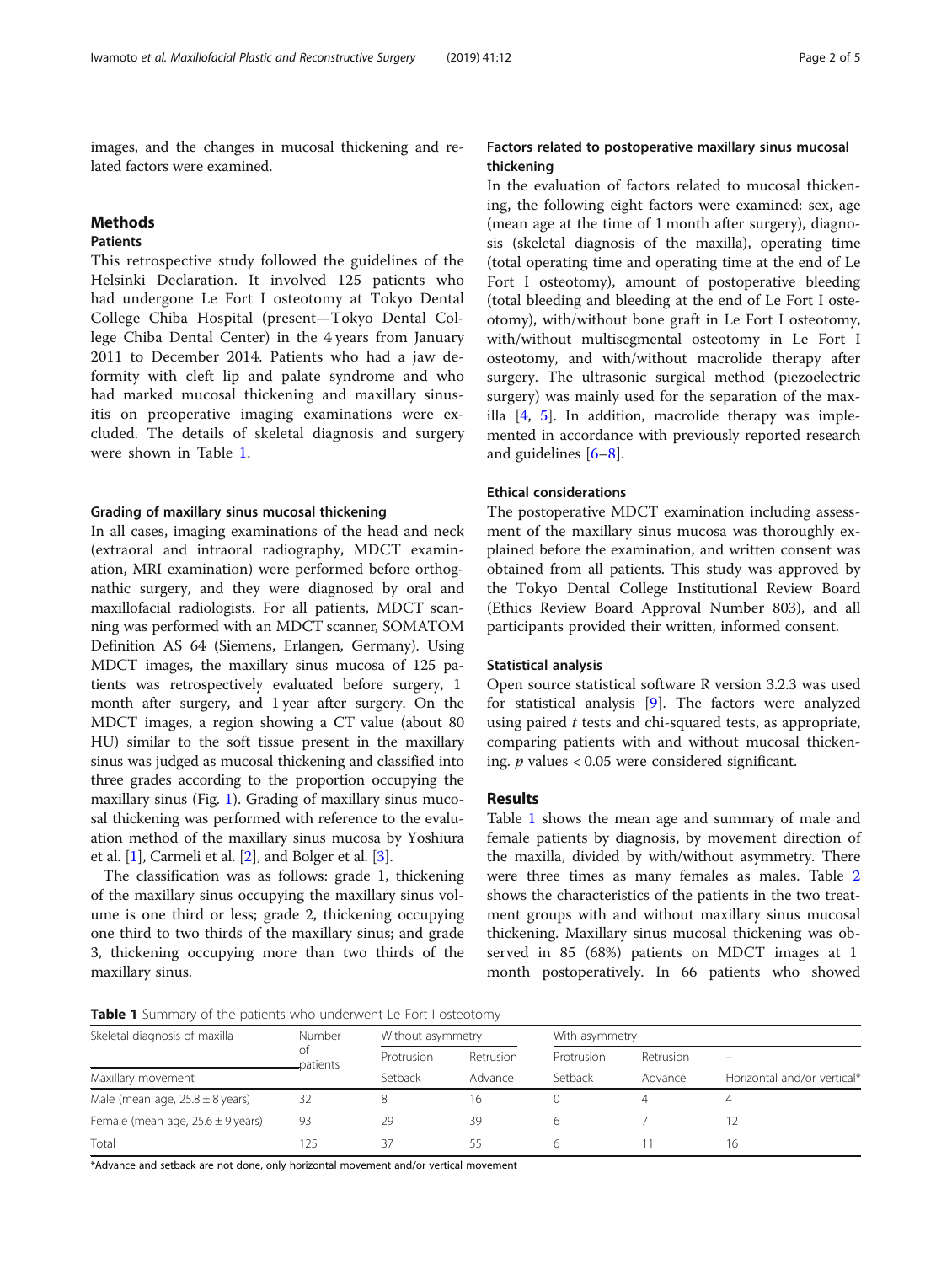images, and the changes in mucosal thickening and related factors were examined.

#### Methods

## **Patients**

This retrospective study followed the guidelines of the Helsinki Declaration. It involved 125 patients who had undergone Le Fort I osteotomy at Tokyo Dental College Chiba Hospital (present—Tokyo Dental College Chiba Dental Center) in the 4 years from January 2011 to December 2014. Patients who had a jaw deformity with cleft lip and palate syndrome and who had marked mucosal thickening and maxillary sinusitis on preoperative imaging examinations were excluded. The details of skeletal diagnosis and surgery were shown in Table 1.

#### Grading of maxillary sinus mucosal thickening

In all cases, imaging examinations of the head and neck (extraoral and intraoral radiography, MDCT examination, MRI examination) were performed before orthognathic surgery, and they were diagnosed by oral and maxillofacial radiologists. For all patients, MDCT scanning was performed with an MDCT scanner, SOMATOM Definition AS 64 (Siemens, Erlangen, Germany). Using MDCT images, the maxillary sinus mucosa of 125 patients was retrospectively evaluated before surgery, 1 month after surgery, and 1 year after surgery. On the MDCT images, a region showing a CT value (about 80 HU) similar to the soft tissue present in the maxillary sinus was judged as mucosal thickening and classified into three grades according to the proportion occupying the maxillary sinus (Fig. [1\)](#page-2-0). Grading of maxillary sinus mucosal thickening was performed with reference to the evaluation method of the maxillary sinus mucosa by Yoshiura et al. [\[1](#page-4-0)], Carmeli et al. [[2\]](#page-4-0), and Bolger et al. [[3\]](#page-4-0).

The classification was as follows: grade 1, thickening of the maxillary sinus occupying the maxillary sinus volume is one third or less; grade 2, thickening occupying one third to two thirds of the maxillary sinus; and grade 3, thickening occupying more than two thirds of the maxillary sinus.

#### Factors related to postoperative maxillary sinus mucosal thickening

In the evaluation of factors related to mucosal thickening, the following eight factors were examined: sex, age (mean age at the time of 1 month after surgery), diagnosis (skeletal diagnosis of the maxilla), operating time (total operating time and operating time at the end of Le Fort I osteotomy), amount of postoperative bleeding (total bleeding and bleeding at the end of Le Fort I osteotomy), with/without bone graft in Le Fort I osteotomy, with/without multisegmental osteotomy in Le Fort I osteotomy, and with/without macrolide therapy after surgery. The ultrasonic surgical method (piezoelectric surgery) was mainly used for the separation of the maxilla  $[4, 5]$  $[4, 5]$  $[4, 5]$ . In addition, macrolide therapy was implemented in accordance with previously reported research and guidelines [[6](#page-4-0)–[8](#page-4-0)].

#### Ethical considerations

The postoperative MDCT examination including assessment of the maxillary sinus mucosa was thoroughly explained before the examination, and written consent was obtained from all patients. This study was approved by the Tokyo Dental College Institutional Review Board (Ethics Review Board Approval Number 803), and all participants provided their written, informed consent.

#### Statistical analysis

Open source statistical software R version 3.2.3 was used for statistical analysis [[9\]](#page-4-0). The factors were analyzed using paired  $t$  tests and chi-squared tests, as appropriate, comparing patients with and without mucosal thickening.  $p$  values  $< 0.05$  were considered significant.

#### Results

Table 1 shows the mean age and summary of male and female patients by diagnosis, by movement direction of the maxilla, divided by with/without asymmetry. There were three times as many females as males. Table [2](#page-2-0) shows the characteristics of the patients in the two treatment groups with and without maxillary sinus mucosal thickening. Maxillary sinus mucosal thickening was observed in 85 (68%) patients on MDCT images at 1 month postoperatively. In 66 patients who showed

Table 1 Summary of the patients who underwent Le Fort I osteotomy

| Skeletal diagnosis of maxilla         | Number<br>Οt<br>patients | Without asymmetry |           | With asymmetry |           |                             |
|---------------------------------------|--------------------------|-------------------|-----------|----------------|-----------|-----------------------------|
|                                       |                          | Protrusion        | Retrusion | Protrusion     | Retrusion | $\overline{\phantom{0}}$    |
| Maxillary movement                    |                          | Setback           | Advance   | Setback        | Advance   | Horizontal and/or vertical* |
| Male (mean age, $25.8 \pm 8$ years)   | 32                       | 8                 | 16        |                |           | 4                           |
| Female (mean age, $25.6 \pm 9$ years) | 93                       | 29                | 39        |                |           |                             |
| Total                                 | 125                      | 37                |           |                |           | 16                          |

\*Advance and setback are not done, only horizontal movement and/or vertical movement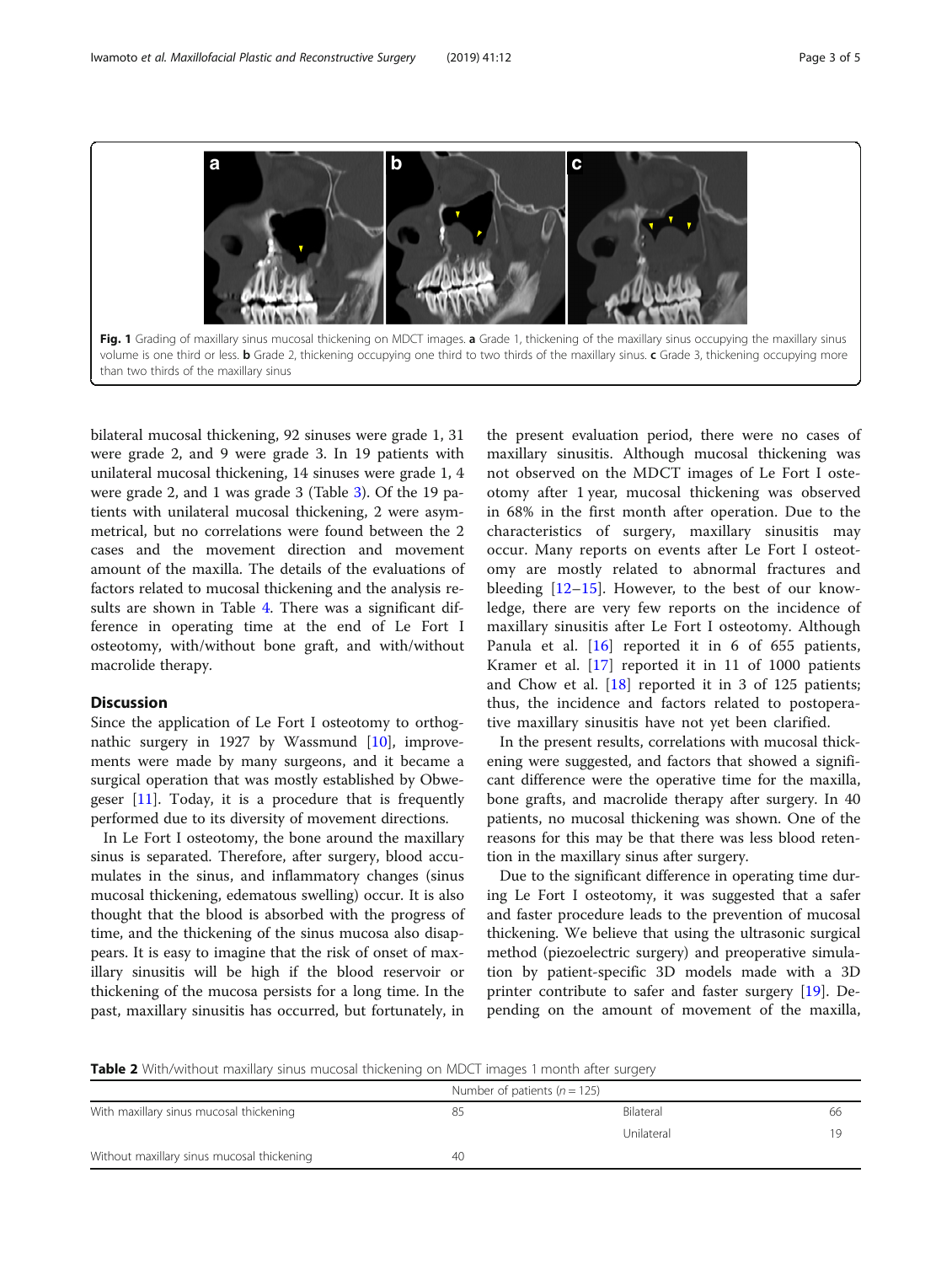<span id="page-2-0"></span>

bilateral mucosal thickening, 92 sinuses were grade 1, 31 were grade 2, and 9 were grade 3. In 19 patients with unilateral mucosal thickening, 14 sinuses were grade 1, 4 were grade 2, and 1 was grade 3 (Table [3](#page-3-0)). Of the 19 patients with unilateral mucosal thickening, 2 were asymmetrical, but no correlations were found between the 2 cases and the movement direction and movement amount of the maxilla. The details of the evaluations of factors related to mucosal thickening and the analysis results are shown in Table [4.](#page-3-0) There was a significant difference in operating time at the end of Le Fort I osteotomy, with/without bone graft, and with/without macrolide therapy.

#### **Discussion**

Since the application of Le Fort I osteotomy to orthognathic surgery in 1927 by Wassmund [\[10](#page-4-0)], improvements were made by many surgeons, and it became a surgical operation that was mostly established by Obwegeser [[11\]](#page-4-0). Today, it is a procedure that is frequently performed due to its diversity of movement directions.

In Le Fort I osteotomy, the bone around the maxillary sinus is separated. Therefore, after surgery, blood accumulates in the sinus, and inflammatory changes (sinus mucosal thickening, edematous swelling) occur. It is also thought that the blood is absorbed with the progress of time, and the thickening of the sinus mucosa also disappears. It is easy to imagine that the risk of onset of maxillary sinusitis will be high if the blood reservoir or thickening of the mucosa persists for a long time. In the past, maxillary sinusitis has occurred, but fortunately, in

the present evaluation period, there were no cases of maxillary sinusitis. Although mucosal thickening was not observed on the MDCT images of Le Fort I osteotomy after 1 year, mucosal thickening was observed in 68% in the first month after operation. Due to the characteristics of surgery, maxillary sinusitis may occur. Many reports on events after Le Fort I osteotomy are mostly related to abnormal fractures and bleeding  $[12-15]$  $[12-15]$  $[12-15]$  $[12-15]$ . However, to the best of our knowledge, there are very few reports on the incidence of maxillary sinusitis after Le Fort I osteotomy. Although Panula et al. [[16\]](#page-4-0) reported it in 6 of 655 patients, Kramer et al. [[17\]](#page-4-0) reported it in 11 of 1000 patients and Chow et al. [[18](#page-4-0)] reported it in 3 of 125 patients; thus, the incidence and factors related to postoperative maxillary sinusitis have not yet been clarified.

In the present results, correlations with mucosal thickening were suggested, and factors that showed a significant difference were the operative time for the maxilla, bone grafts, and macrolide therapy after surgery. In 40 patients, no mucosal thickening was shown. One of the reasons for this may be that there was less blood retention in the maxillary sinus after surgery.

Due to the significant difference in operating time during Le Fort I osteotomy, it was suggested that a safer and faster procedure leads to the prevention of mucosal thickening. We believe that using the ultrasonic surgical method (piezoelectric surgery) and preoperative simulation by patient-specific 3D models made with a 3D printer contribute to safer and faster surgery [[19\]](#page-4-0). Depending on the amount of movement of the maxilla,

Table 2 With/without maxillary sinus mucosal thickening on MDCT images 1 month after surgery

|                                            | Number of patients ( $n = 125$ ) |            |     |
|--------------------------------------------|----------------------------------|------------|-----|
| With maxillary sinus mucosal thickening    | 85                               | Bilateral  | 66  |
|                                            |                                  | Unilateral | 1 Q |
| Without maxillary sinus mucosal thickening | 40                               |            |     |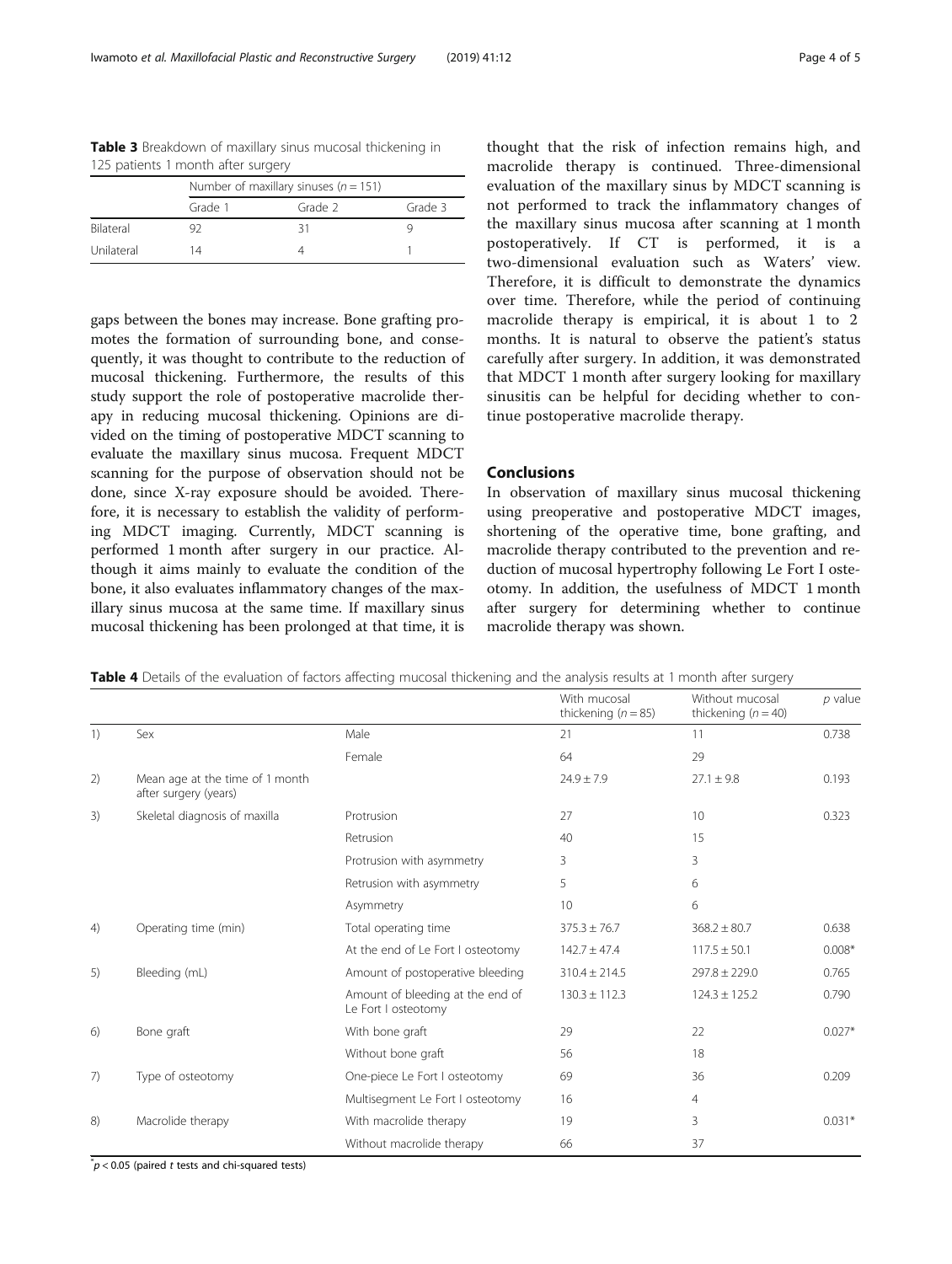|            | Number of maxillary sinuses ( $n = 151$ ) |         |         |  |  |
|------------|-------------------------------------------|---------|---------|--|--|
|            | Grade 1                                   | Grade 2 | Grade 3 |  |  |
| Bilateral  | 92                                        |         |         |  |  |
| Unilateral | 14                                        |         |         |  |  |

<span id="page-3-0"></span>Table 3 Breakdown of maxillary sinus mucosal thickening in 125 patients 1 month after surgery

gaps between the bones may increase. Bone grafting promotes the formation of surrounding bone, and consequently, it was thought to contribute to the reduction of mucosal thickening. Furthermore, the results of this study support the role of postoperative macrolide therapy in reducing mucosal thickening. Opinions are divided on the timing of postoperative MDCT scanning to evaluate the maxillary sinus mucosa. Frequent MDCT scanning for the purpose of observation should not be done, since X-ray exposure should be avoided. Therefore, it is necessary to establish the validity of performing MDCT imaging. Currently, MDCT scanning is performed 1 month after surgery in our practice. Although it aims mainly to evaluate the condition of the bone, it also evaluates inflammatory changes of the maxillary sinus mucosa at the same time. If maxillary sinus mucosal thickening has been prolonged at that time, it is

thought that the risk of infection remains high, and macrolide therapy is continued. Three-dimensional evaluation of the maxillary sinus by MDCT scanning is not performed to track the inflammatory changes of the maxillary sinus mucosa after scanning at 1 month postoperatively. If CT is performed, it is a two-dimensional evaluation such as Waters' view. Therefore, it is difficult to demonstrate the dynamics over time. Therefore, while the period of continuing macrolide therapy is empirical, it is about 1 to 2 months. It is natural to observe the patient's status carefully after surgery. In addition, it was demonstrated that MDCT 1 month after surgery looking for maxillary sinusitis can be helpful for deciding whether to continue postoperative macrolide therapy.

## Conclusions

In observation of maxillary sinus mucosal thickening using preoperative and postoperative MDCT images, shortening of the operative time, bone grafting, and macrolide therapy contributed to the prevention and reduction of mucosal hypertrophy following Le Fort I osteotomy. In addition, the usefulness of MDCT 1 month after surgery for determining whether to continue macrolide therapy was shown.

Table 4 Details of the evaluation of factors affecting mucosal thickening and the analysis results at 1 month after surgery

|    |                                                          |                                                         | With mucosal<br>thickening $(n = 85)$ | Without mucosal<br>thickening $(n = 40)$ | $p$ value |
|----|----------------------------------------------------------|---------------------------------------------------------|---------------------------------------|------------------------------------------|-----------|
| 1) | Sex                                                      | Male                                                    | 21                                    | 11                                       | 0.738     |
|    |                                                          | Female                                                  | 64                                    | 29                                       |           |
| 2) | Mean age at the time of 1 month<br>after surgery (years) |                                                         | $24.9 \pm 7.9$                        | $27.1 \pm 9.8$                           | 0.193     |
| 3) | Skeletal diagnosis of maxilla                            | Protrusion                                              | 27                                    | 10                                       | 0.323     |
|    |                                                          | Retrusion                                               | 40                                    | 15                                       |           |
|    |                                                          | Protrusion with asymmetry                               | 3                                     | 3                                        |           |
|    |                                                          | Retrusion with asymmetry                                | 5                                     | 6                                        |           |
|    |                                                          | Asymmetry                                               | 10                                    | 6                                        |           |
| 4) | Operating time (min)                                     | Total operating time                                    | $375.3 \pm 76.7$                      | $368.2 \pm 80.7$                         | 0.638     |
|    |                                                          | At the end of Le Fort I osteotomy                       | $142.7 \pm 47.4$                      | $117.5 \pm 50.1$                         | $0.008*$  |
| 5) | Bleeding (mL)                                            | Amount of postoperative bleeding                        | $310.4 \pm 214.5$                     | $297.8 \pm 229.0$                        | 0.765     |
|    |                                                          | Amount of bleeding at the end of<br>Le Fort I osteotomy | $130.3 \pm 112.3$                     | $124.3 \pm 125.2$                        | 0.790     |
| 6) | Bone graft                                               | With bone graft                                         | 29                                    | 22                                       | $0.027*$  |
|    |                                                          | Without bone graft                                      | 56                                    | 18                                       |           |
| 7) | Type of osteotomy                                        | One-piece Le Fort I osteotomy                           | 69                                    | 36                                       | 0.209     |
|    |                                                          | Multisegment Le Fort I osteotomy                        | 16                                    | 4                                        |           |
| 8) | Macrolide therapy                                        | With macrolide therapy                                  | 19                                    | 3                                        | $0.031*$  |
|    |                                                          | Without macrolide therapy                               | 66                                    | 37                                       |           |

 $p^*$  < 0.05 (paired t tests and chi-squared tests)